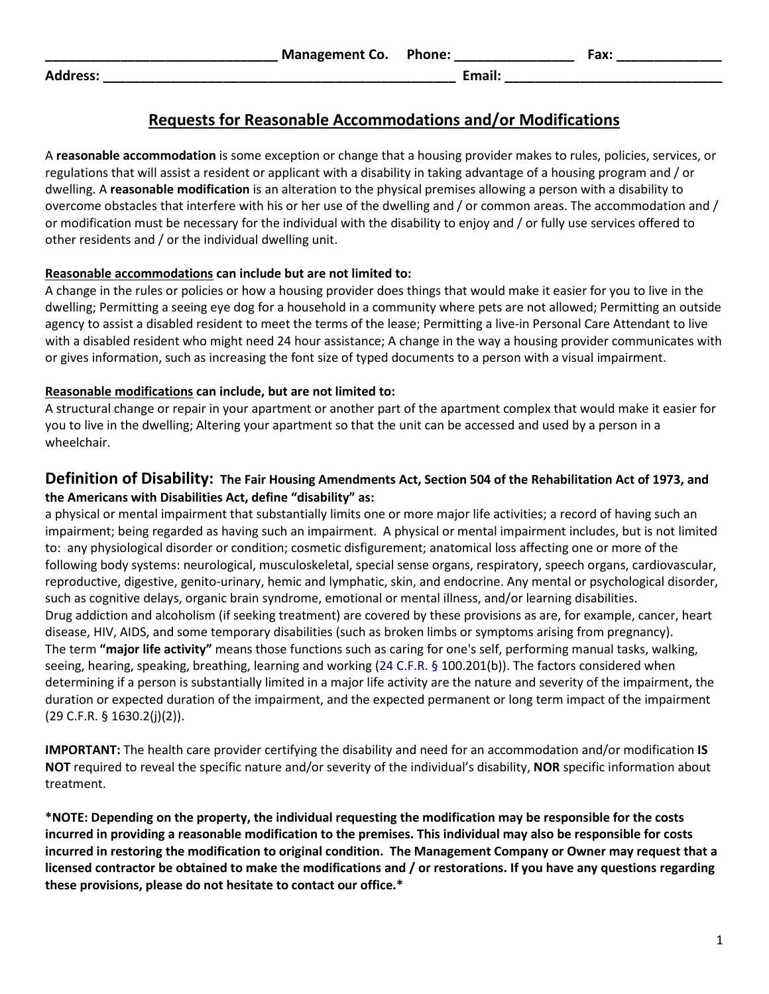**Address: \_\_\_\_\_\_\_\_\_\_\_\_\_\_\_\_\_\_\_\_\_\_\_\_\_\_\_\_\_\_\_\_\_\_\_\_\_\_\_\_\_\_\_\_\_\_\_ Email: \_\_\_\_\_\_\_\_\_\_\_\_\_\_\_\_\_\_\_\_\_\_\_\_\_\_\_\_\_**

## **Requests for Reasonable Accommodations and/or Modifications**

A **reasonable accommodation** is some exception or change that a housing provider makes to rules, policies, services, or regulations that will assist a resident or applicant with a disability in taking advantage of a housing program and / or dwelling. A **reasonable modification** is an alteration to the physical premises allowing a person with a disability to overcome obstacles that interfere with his or her use of the dwelling and / or common areas. The accommodation and / or modification must be necessary for the individual with the disability to enjoy and / or fully use services offered to other residents and / or the individual dwelling unit.

#### **Reasonable accommodations can include but are not limited to:**

A change in the rules or policies or how a housing provider does things that would make it easier for you to live in the dwelling; Permitting a seeing eye dog for a household in a community where pets are not allowed; Permitting an outside agency to assist a disabled resident to meet the terms of the lease; Permitting a live-in Personal Care Attendant to live with a disabled resident who might need 24 hour assistance; A change in the way a housing provider communicates with or gives information, such as increasing the font size of typed documents to a person with a visual impairment.

### **Reasonable modifications can include, but are not limited to:**

A structural change or repair in your apartment or another part of the apartment complex that would make it easier for you to live in the dwelling; Altering your apartment so that the unit can be accessed and used by a person in a wheelchair.

## **Definition of Disability: The Fair Housing Amendments Act, Section 504 of the Rehabilitation Act of 1973, and the Americans with Disabilities Act, define "disability" as:**

a physical or mental impairment that substantially limits one or more major life activities; a record of having such an impairment; being regarded as having such an impairment. A physical or mental impairment includes, but is not limited to: any physiological disorder or condition; cosmetic disfigurement; anatomical loss affecting one or more of the following body systems: neurological, musculoskeletal, special sense organs, respiratory, speech organs, cardiovascular, reproductive, digestive, genito-urinary, hemic and lymphatic, skin, and endocrine. Any mental or psychological disorder, such as cognitive delays, organic brain syndrome, emotional or mental illness, and/or learning disabilities. Drug addiction and alcoholism (if seeking treatment) are covered by these provisions as are, for example, cancer, heart disease, HIV, AIDS, and some temporary disabilities (such as broken limbs or symptoms arising from pregnancy). The term **"major life activity"** means those functions such as caring for one's self, performing manual tasks, walking, seeing, hearing, speaking, breathing, learning and working (24 C.F.R. § 100.201(b)). The factors considered when determining if a person is substantially limited in a major life activity are the nature and severity of the impairment, the duration or expected duration of the impairment, and the expected permanent or long term impact of the impairment (29 C.F.R. § 1630.2(j)(2)).

**IMPORTANT:** The health care provider certifying the disability and need for an accommodation and/or modification **IS NOT** required to reveal the specific nature and/or severity of the individual's disability, **NOR** specific information about treatment.

**\*NOTE: Depending on the property, the individual requesting the modification may be responsible for the costs incurred in providing a reasonable modification to the premises. This individual may also be responsible for costs incurred in restoring the modification to original condition. The Management Company or Owner may request that a licensed contractor be obtained to make the modifications and / or restorations. If you have any questions regarding these provisions, please do not hesitate to contact our office.\***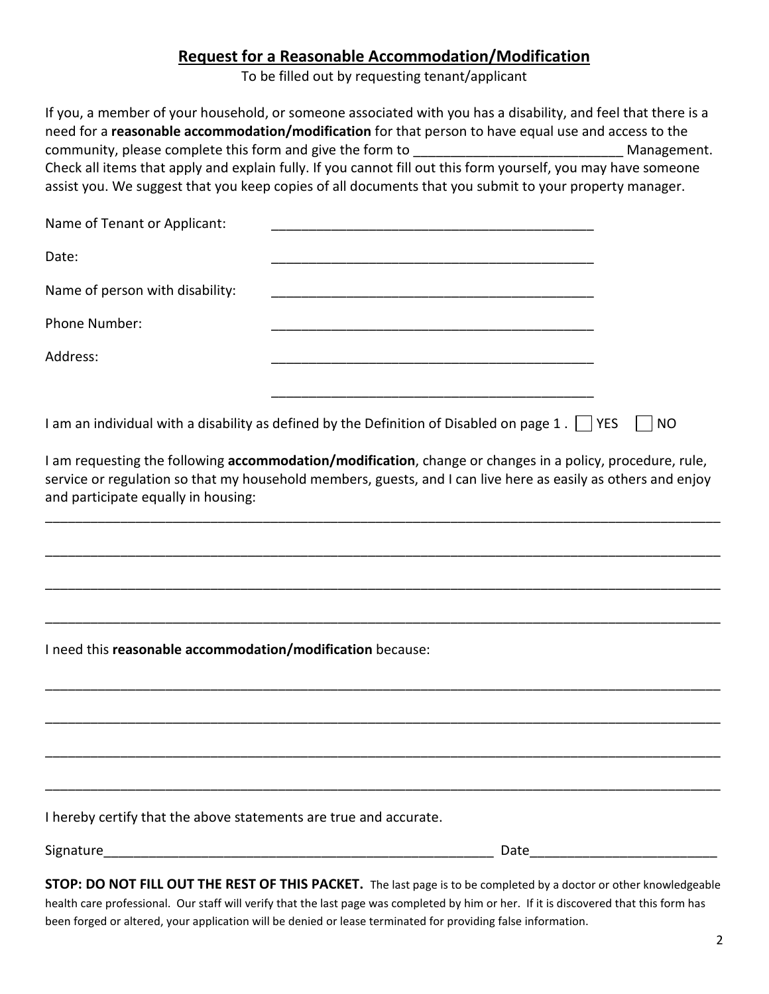# **Request for a Reasonable Accommodation/Modification**

To be filled out by requesting tenant/applicant

| Name of Tenant or Applicant:<br>Date:<br>Name of person with disability:<br>Phone Number:<br>Address:<br>I am an individual with a disability as defined by the Definition of Disabled on page $1$ . $\Box$ YES<br><b>NO</b><br>I am requesting the following accommodation/modification, change or changes in a policy, procedure, rule,<br>service or regulation so that my household members, guests, and I can live here as easily as others and enjoy<br>and participate equally in housing:<br>I need this reasonable accommodation/modification because: | If you, a member of your household, or someone associated with you has a disability, and feel that there is a<br>need for a reasonable accommodation/modification for that person to have equal use and access to the<br>community, please complete this form and give the form to _______________________<br>Check all items that apply and explain fully. If you cannot fill out this form yourself, you may have someone<br>assist you. We suggest that you keep copies of all documents that you submit to your property manager. | Management. |
|-----------------------------------------------------------------------------------------------------------------------------------------------------------------------------------------------------------------------------------------------------------------------------------------------------------------------------------------------------------------------------------------------------------------------------------------------------------------------------------------------------------------------------------------------------------------|---------------------------------------------------------------------------------------------------------------------------------------------------------------------------------------------------------------------------------------------------------------------------------------------------------------------------------------------------------------------------------------------------------------------------------------------------------------------------------------------------------------------------------------|-------------|
|                                                                                                                                                                                                                                                                                                                                                                                                                                                                                                                                                                 |                                                                                                                                                                                                                                                                                                                                                                                                                                                                                                                                       |             |
|                                                                                                                                                                                                                                                                                                                                                                                                                                                                                                                                                                 |                                                                                                                                                                                                                                                                                                                                                                                                                                                                                                                                       |             |
|                                                                                                                                                                                                                                                                                                                                                                                                                                                                                                                                                                 |                                                                                                                                                                                                                                                                                                                                                                                                                                                                                                                                       |             |
|                                                                                                                                                                                                                                                                                                                                                                                                                                                                                                                                                                 |                                                                                                                                                                                                                                                                                                                                                                                                                                                                                                                                       |             |
|                                                                                                                                                                                                                                                                                                                                                                                                                                                                                                                                                                 |                                                                                                                                                                                                                                                                                                                                                                                                                                                                                                                                       |             |
|                                                                                                                                                                                                                                                                                                                                                                                                                                                                                                                                                                 |                                                                                                                                                                                                                                                                                                                                                                                                                                                                                                                                       |             |
|                                                                                                                                                                                                                                                                                                                                                                                                                                                                                                                                                                 |                                                                                                                                                                                                                                                                                                                                                                                                                                                                                                                                       |             |
|                                                                                                                                                                                                                                                                                                                                                                                                                                                                                                                                                                 |                                                                                                                                                                                                                                                                                                                                                                                                                                                                                                                                       |             |
|                                                                                                                                                                                                                                                                                                                                                                                                                                                                                                                                                                 |                                                                                                                                                                                                                                                                                                                                                                                                                                                                                                                                       |             |
| I hereby certify that the above statements are true and accurate.                                                                                                                                                                                                                                                                                                                                                                                                                                                                                               |                                                                                                                                                                                                                                                                                                                                                                                                                                                                                                                                       |             |
| STOP: DO NOT FILL OUT THE REST OF THIS PACKET. The last page is to be completed by a doctor or other knowledgeable                                                                                                                                                                                                                                                                                                                                                                                                                                              |                                                                                                                                                                                                                                                                                                                                                                                                                                                                                                                                       |             |

health care professional. Our staff will verify that the last page was completed by him or her. If it is discovered that this form has been forged or altered, your application will be denied or lease terminated for providing false information.